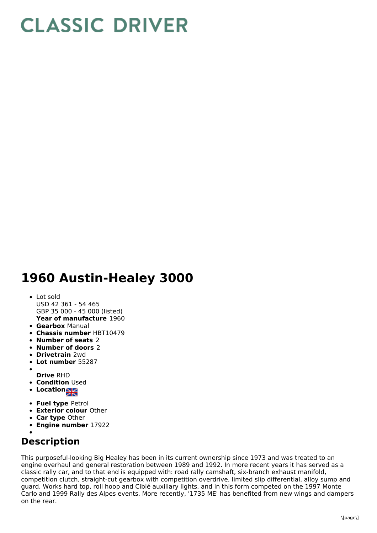# **CLASSIC DRIVER**

## **1960 Austin-Healey 3000**

### **Year of manufacture** 1960 Lot sold USD 42 361 - 54 465 GBP 35 000 - 45 000 (listed)

- **Gearbox** Manual
- **Chassis number** HBT10479
- **Number of seats** 2
- **Number of doors** 2
- **Drivetrain** 2wd
- **Lot number** 55287
- **Drive** RHD
- **Condition** Used
- **Location**
- **Fuel type** Petrol
- **Exterior colour** Other
- **Car type** Other
- **Engine number** 17922

## **Description**

This purposeful-looking Big Healey has been in its current ownership since 1973 and was treated to an engine overhaul and general restoration between 1989 and 1992. In more recent years it has served as a classic rally car, and to that end is equipped with: road rally camshaft, six-branch exhaust manifold, competition clutch, straight-cut gearbox with competition overdrive, limited slip differential, alloy sump and guard, Works hard top, roll hoop and Cibié auxiliary lights, and in this form competed on the 1997 Monte Carlo and 1999 Rally des Alpes events. More recently, '1735 ME' has benefited from new wings and dampers on the rear.